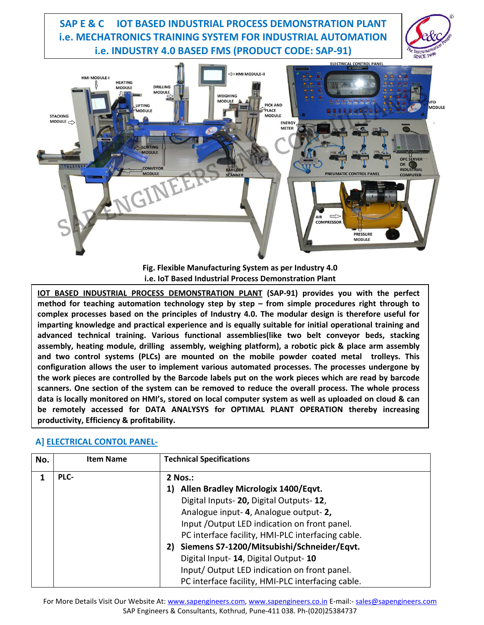

**Fig. Flexible Manufacturing System as per Industry 4.0 i.e. IoT Based Industrial Process Demonstration Plant** 

**IOT BASED INDUSTRIAL PROCESS DEMONSTRATION PLANT (SAP-91) provides you with the perfect method for teaching automation technology step by step – from simple procedures right through to complex processes based on the principles of Industry 4.0. The modular design is therefore useful for imparting knowledge and practical experience and is equally suitable for initial operational training and advanced technical training. Various functional assemblies(like two belt conveyor beds, stacking assembly, heating module, drilling assembly, weighing platform), a robotic pick & place arm assembly and two control systems (PLCs) are mounted on the mobile powder coated metal trolleys. This configuration allows the user to implement various automated processes. The processes undergone by the work pieces are controlled by the Barcode labels put on the work pieces which are read by barcode scanners. One section of the system can be removed to reduce the overall process. The whole process data is locally monitored on HMI's, stored on local computer system as well as uploaded on cloud & can be remotely accessed for DATA ANALYSYS for OPTIMAL PLANT OPERATION thereby increasing productivity, Efficiency & profitability.**

## **A] ELECTRICAL CONTOL PANEL-**

| No. | <b>Item Name</b> | <b>Technical Specifications</b>                   |
|-----|------------------|---------------------------------------------------|
| 1   | PLC-             | 2 Nos.:                                           |
|     |                  | <b>Allen Bradley Micrologix 1400/Eqvt.</b><br>1)  |
|     |                  | Digital Inputs-20, Digital Outputs-12,            |
|     |                  | Analogue input-4, Analogue output-2,              |
|     |                  | Input / Output LED indication on front panel.     |
|     |                  | PC interface facility, HMI-PLC interfacing cable. |
|     |                  | 2) Siemens S7-1200/Mitsubishi/Schneider/Eqvt.     |
|     |                  | Digital Input- 14, Digital Output- 10             |
|     |                  | Input/Output LED indication on front panel.       |
|     |                  | PC interface facility, HMI-PLC interfacing cable. |

For More Details Visit Our Website At: www.sapengineers.com, www.sapengineers.co.in E-mail:- sales@sapengineers.com SAP Engineers & Consultants, Kothrud, Pune-411 038. Ph-(020)25384737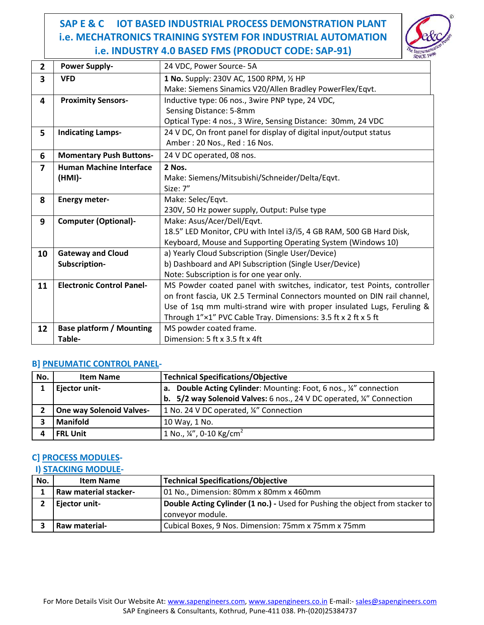

| $\overline{2}$ | <b>Power Supply-</b>             | 24 VDC, Power Source-5A                                                  |
|----------------|----------------------------------|--------------------------------------------------------------------------|
| 3              | <b>VFD</b>                       | 1 No. Supply: 230V AC, 1500 RPM, 1/2 HP                                  |
|                |                                  | Make: Siemens Sinamics V20/Allen Bradley PowerFlex/Eqvt.                 |
| 4              | <b>Proximity Sensors-</b>        | Inductive type: 06 nos., 3wire PNP type, 24 VDC,                         |
|                |                                  | Sensing Distance: 5-8mm                                                  |
|                |                                  | Optical Type: 4 nos., 3 Wire, Sensing Distance: 30mm, 24 VDC             |
| 5              | <b>Indicating Lamps-</b>         | 24 V DC, On front panel for display of digital input/output status       |
|                |                                  | Amber: 20 Nos., Red: 16 Nos.                                             |
| 6              | <b>Momentary Push Buttons-</b>   | 24 V DC operated, 08 nos.                                                |
| 7              | <b>Human Machine Interface</b>   | 2 Nos.                                                                   |
|                | (HMI)-                           | Make: Siemens/Mitsubishi/Schneider/Delta/Eqvt.                           |
|                |                                  | Size: 7"                                                                 |
| 8              | <b>Energy meter-</b>             | Make: Selec/Eqvt.                                                        |
|                |                                  | 230V, 50 Hz power supply, Output: Pulse type                             |
| 9              | <b>Computer (Optional)-</b>      | Make: Asus/Acer/Dell/Eqvt.                                               |
|                |                                  | 18.5" LED Monitor, CPU with Intel i3/i5, 4 GB RAM, 500 GB Hard Disk,     |
|                |                                  | Keyboard, Mouse and Supporting Operating System (Windows 10)             |
| 10             | <b>Gateway and Cloud</b>         | a) Yearly Cloud Subscription (Single User/Device)                        |
|                | Subscription-                    | b) Dashboard and API Subscription (Single User/Device)                   |
|                |                                  | Note: Subscription is for one year only.                                 |
| 11             | <b>Electronic Control Panel-</b> | MS Powder coated panel with switches, indicator, test Points, controller |
|                |                                  | on front fascia, UK 2.5 Terminal Connectors mounted on DIN rail channel, |
|                |                                  | Use of 1sq mm multi-strand wire with proper insulated Lugs, Feruling &   |
|                |                                  | Through 1"×1" PVC Cable Tray. Dimensions: 3.5 ft x 2 ft x 5 ft           |
| 12             | <b>Base platform / Mounting</b>  | MS powder coated frame.                                                  |
|                | Table-                           | Dimension: 5 ft x 3.5 ft x 4ft                                           |

## **B] PNEUMATIC CONTROL PANEL-**

| No. | <b>Item Name</b>                | <b>Technical Specifications/Objective</b>                                        |
|-----|---------------------------------|----------------------------------------------------------------------------------|
|     | Ejector unit-                   | <b>a.</b> Double Acting Cylinder: Mounting: Foot, 6 nos., 14" connection         |
|     |                                 | b. $5/2$ way Solenoid Valves: 6 nos., 24 V DC operated, $\frac{1}{4}$ Connection |
|     | <b>One way Solenoid Valves-</b> | 1 No. 24 V DC operated, ¼" Connection                                            |
|     | <b>Manifold</b>                 | 10 Way, 1 No.                                                                    |
|     | <b>FRL Unit</b>                 | 1 No., $\frac{1}{4}$ , 0-10 Kg/cm <sup>2</sup>                                   |

## **C] PROCESS MODULES-**

#### **I) STACKING MODULE-**

| No. | <b>Item Name</b>             | <b>Technical Specifications/Objective</b>                                    |
|-----|------------------------------|------------------------------------------------------------------------------|
|     | <b>Raw material stacker-</b> | 01 No., Dimension: 80mm x 80mm x 460mm                                       |
|     | <b>Ejector unit-</b>         | Double Acting Cylinder (1 no.) - Used for Pushing the object from stacker to |
|     |                              | conveyor module.                                                             |
|     | Raw material-                | Cubical Boxes, 9 Nos. Dimension: 75mm x 75mm x 75mm                          |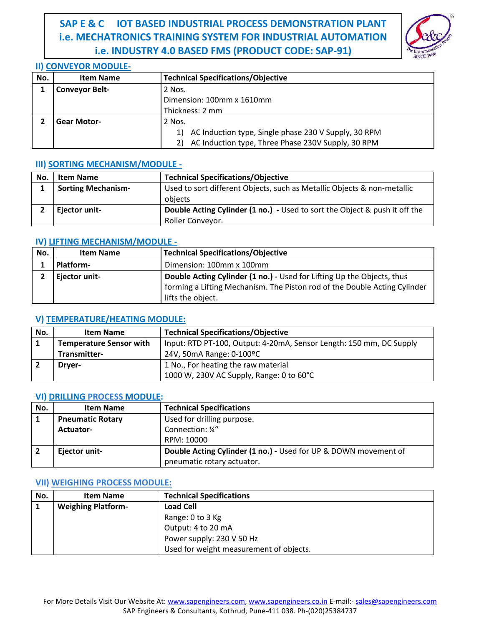

## **II) CONVEYOR MODULE-**

| No. | <b>Item Name</b>      | <b>Technical Specifications/Objective</b>                |
|-----|-----------------------|----------------------------------------------------------|
|     | <b>Conveyor Belt-</b> | 2 Nos.                                                   |
|     |                       | Dimension: 100mm x 1610mm                                |
|     |                       | Thickness: 2 mm                                          |
|     | <b>Gear Motor-</b>    | 2 Nos.                                                   |
|     |                       | 1) AC Induction type, Single phase 230 V Supply, 30 RPM  |
|     |                       | AC Induction type, Three Phase 230V Supply, 30 RPM<br>2) |

#### **III) SORTING MECHANISM/MODULE -**

| No. | <b>Item Name</b>          | <b>Technical Specifications/Objective</b>                                         |
|-----|---------------------------|-----------------------------------------------------------------------------------|
|     | <b>Sorting Mechanism-</b> | Used to sort different Objects, such as Metallic Objects & non-metallic           |
|     |                           | obiects                                                                           |
|     | Ejector unit-             | <b>Double Acting Cylinder (1 no.)</b> - Used to sort the Object & push it off the |
|     |                           | Roller Conveyor.                                                                  |

## **IV) LIFTING MECHANISM/MODULE -**

| No. | <b>Item Name</b> | <b>Technical Specifications/Objective</b>                                                                                                                                |
|-----|------------------|--------------------------------------------------------------------------------------------------------------------------------------------------------------------------|
|     | <b>Platform-</b> | Dimension: 100mm x 100mm                                                                                                                                                 |
|     | Ejector unit-    | Double Acting Cylinder (1 no.) - Used for Lifting Up the Objects, thus<br>forming a Lifting Mechanism. The Piston rod of the Double Acting Cylinder<br>lifts the object. |

# **V) TEMPERATURE/HEATING MODULE:**

| No. | <b>Item Name</b>               | <b>Technical Specifications/Objective</b>                           |
|-----|--------------------------------|---------------------------------------------------------------------|
|     | <b>Temperature Sensor with</b> | Input: RTD PT-100, Output: 4-20mA, Sensor Length: 150 mm, DC Supply |
|     | Transmitter-                   | 24V, 50mA Range: 0-100ºC                                            |
|     | Dryer-                         | 1 No., For heating the raw material                                 |
|     |                                | 1000 W, 230V AC Supply, Range: 0 to 60°C                            |

#### **VI) DRILLING PROCESS MODULE:**

| No. | <b>Item Name</b>        | <b>Technical Specifications</b>                                 |
|-----|-------------------------|-----------------------------------------------------------------|
|     | <b>Pneumatic Rotary</b> | Used for drilling purpose.                                      |
|     | <b>Actuator-</b>        | Connection: 1/4"                                                |
|     |                         | RPM: 10000                                                      |
|     | Ejector unit-           | Double Acting Cylinder (1 no.) - Used for UP & DOWN movement of |
|     |                         | pneumatic rotary actuator.                                      |

#### **VII) WEIGHING PROCESS MODULE:**

| No. | <b>Item Name</b>          | <b>Technical Specifications</b>         |
|-----|---------------------------|-----------------------------------------|
|     | <b>Weighing Platform-</b> | <b>Load Cell</b>                        |
|     |                           | Range: 0 to 3 Kg                        |
|     |                           | Output: 4 to 20 mA                      |
|     |                           | Power supply: 230 V 50 Hz               |
|     |                           | Used for weight measurement of objects. |